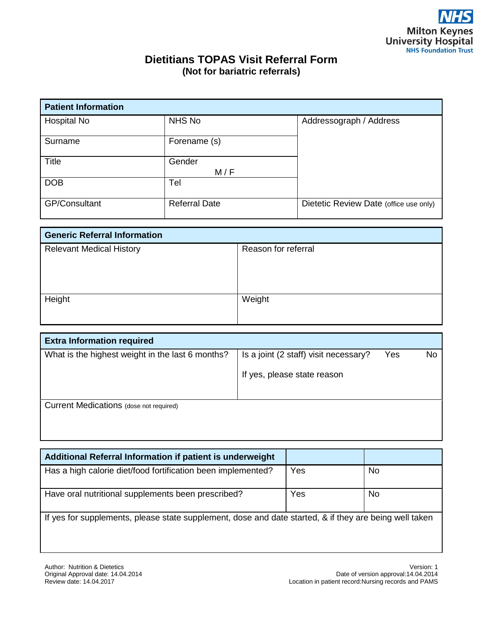## **Dietitians TOPAS Visit Referral Form (Not for bariatric referrals)**

| <b>Patient Information</b> |                      |                                        |  |  |  |
|----------------------------|----------------------|----------------------------------------|--|--|--|
| Hospital No                | NHS No               | Addressograph / Address                |  |  |  |
| Surname                    | Forename (s)         |                                        |  |  |  |
| <b>Title</b>               | Gender<br>M / F      |                                        |  |  |  |
| <b>DOB</b>                 | Tel                  |                                        |  |  |  |
| <b>GP/Consultant</b>       | <b>Referral Date</b> | Dietetic Review Date (office use only) |  |  |  |

| <b>Generic Referral Information</b> |                     |  |  |  |
|-------------------------------------|---------------------|--|--|--|
| <b>Relevant Medical History</b>     | Reason for referral |  |  |  |
|                                     |                     |  |  |  |
|                                     |                     |  |  |  |
|                                     |                     |  |  |  |
| Height                              | Weight              |  |  |  |
|                                     |                     |  |  |  |
|                                     |                     |  |  |  |

| <b>Extra Information required</b>                |                                       |     |    |  |  |
|--------------------------------------------------|---------------------------------------|-----|----|--|--|
| What is the highest weight in the last 6 months? | Is a joint (2 staff) visit necessary? | Yes | No |  |  |
|                                                  | If yes, please state reason           |     |    |  |  |
| Current Medications (dose not required)          |                                       |     |    |  |  |

| Additional Referral Information if patient is underweight                                              |     |           |  |  |  |
|--------------------------------------------------------------------------------------------------------|-----|-----------|--|--|--|
| Has a high calorie diet/food fortification been implemented?                                           | Yes | <b>No</b> |  |  |  |
| Have oral nutritional supplements been prescribed?                                                     | Yes | No.       |  |  |  |
| If yes for supplements, please state supplement, dose and date started, & if they are being well taken |     |           |  |  |  |